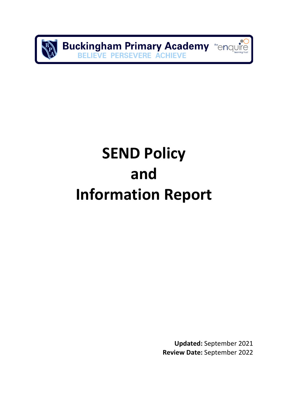**Buckingham Primary Academy the Analytice BELIEVE PERSEVERE ACHIEVE** 

# **SEND Policy and Information Report**

**Updated:** September 2021 **Review Date:** September 2022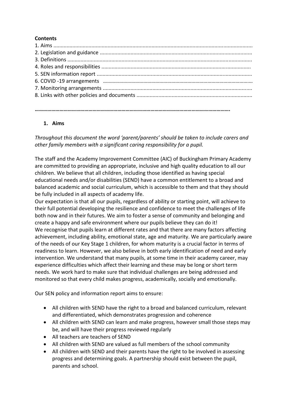# **Contents**

# **1. Aims**

*Throughout this document the word 'parent/parents' should be taken to include carers and other family members with a significant caring responsibility for a pupil.* 

**…………………………………………………………………………………………………………………………….** 

The staff and the Academy Improvement Committee (AIC) of Buckingham Primary Academy are committed to providing an appropriate, inclusive and high quality education to all our children. We believe that all children, including those identified as having special educational needs and/or disabilities (SEND) have a common entitlement to a broad and balanced academic and social curriculum, which is accessible to them and that they should be fully included in all aspects of academy life.

Our expectation is that all our pupils, regardless of ability or starting point, will achieve to their full potential developing the resilience and confidence to meet the challenges of life both now and in their futures. We aim to foster a sense of community and belonging and create a happy and safe environment where our pupils believe they can do it! We recognise that pupils learn at different rates and that there are many factors affecting achievement, including ability, emotional state, age and maturity. We are particularly aware of the needs of our Key Stage 1 children, for whom maturity is a crucial factor in terms of readiness to learn. However, we also believe in both early identification of need and early intervention. We understand that many pupils, at some time in their academy career, may experience difficulties which affect their learning and these may be long or short term needs. We work hard to make sure that individual challenges are being addressed and monitored so that every child makes progress, academically, socially and emotionally.

Our SEN policy and information report aims to ensure:

- All children with SEND have the right to a broad and balanced curriculum, relevant and differentiated, which demonstrates progression and coherence
- All children with SEND can learn and make progress, however small those steps may be, and will have their progress reviewed regularly
- All teachers are teachers of SEND
- All children with SEND are valued as full members of the school community
- All children with SEND and their parents have the right to be involved in assessing progress and determining goals. A partnership should exist between the pupil, parents and school.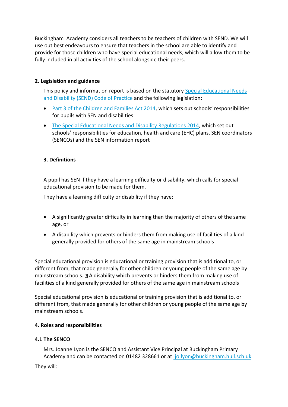Buckingham Academy considers all teachers to be teachers of children with SEND. We will use out best endeavours to ensure that teachers in the school are able to identify and provide for those children who have special educational needs, which will allow them to be fully included in all activities of the school alongside their peers.

# **2. Legislation and guidance**

This policy and information report is based on the statutory [Special Educational Needs](https://www.gov.uk/government/uploads/system/uploads/attachment_data/file/398815/SEND_Code_of_Practice_January_2015.pdf)  [and Disability \(SEND\) Code of Practice](https://www.gov.uk/government/uploads/system/uploads/attachment_data/file/398815/SEND_Code_of_Practice_January_2015.pdf) and the following legislation:

- [Part 3 of the Children and Families Act 2014](http://www.legislation.gov.uk/ukpga/2014/6/part/3), which sets out schools' responsibilities for pupils with SEN and disabilities
- [The Special Educational Needs and Disability Regulations 2014,](http://www.legislation.gov.uk/uksi/2014/1530/contents/made) which set out schools' responsibilities for education, health and care (EHC) plans, SEN coordinators (SENCOs) and the SEN information report

# **3. Definitions**

A pupil has SEN if they have a learning difficulty or disability, which calls for special educational provision to be made for them.

They have a learning difficulty or disability if they have:

- A significantly greater difficulty in learning than the majority of others of the same age, or
- A disability which prevents or hinders them from making use of facilities of a kind generally provided for others of the same age in mainstream schools

Special educational provision is educational or training provision that is additional to, or different from, that made generally for other children or young people of the same age by mainstream schools.  $\mathbb{B}$  A disability which prevents or hinders them from making use of facilities of a kind generally provided for others of the same age in mainstream schools

Special educational provision is educational or training provision that is additional to, or different from, that made generally for other children or young people of the same age by mainstream schools.

# **4. Roles and responsibilities**

# **4.1 The SENCO**

Mrs. Joanne Lyon is the SENCO and Assistant Vice Principal at Buckingham Primary Academy and can be contacted on 01482 328661 or at [jo.lyon@buckingham.hull.sch.uk](mailto:%20jo.lyon@buckingham.hull.sch.uk)

They will: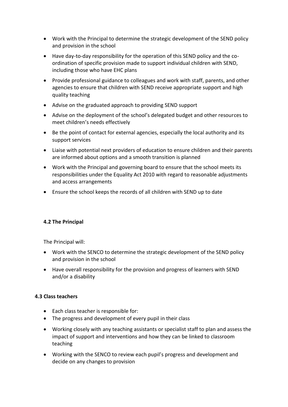- Work with the Principal to determine the strategic development of the SEND policy and provision in the school
- Have day-to-day responsibility for the operation of this SEND policy and the coordination of specific provision made to support individual children with SEND, including those who have EHC plans
- Provide professional guidance to colleagues and work with staff, parents, and other agencies to ensure that children with SEND receive appropriate support and high quality teaching
- Advise on the graduated approach to providing SEND support
- Advise on the deployment of the school's delegated budget and other resources to meet children's needs effectively
- Be the point of contact for external agencies, especially the local authority and its support services
- Liaise with potential next providers of education to ensure children and their parents are informed about options and a smooth transition is planned
- Work with the Principal and governing board to ensure that the school meets its responsibilities under the Equality Act 2010 with regard to reasonable adjustments and access arrangements
- Ensure the school keeps the records of all children with SEND up to date

# **4.2 The Principal**

The Principal will:

- Work with the SENCO to determine the strategic development of the SEND policy and provision in the school
- Have overall responsibility for the provision and progress of learners with SEND and/or a disability

#### **4.3 Class teachers**

- Each class teacher is responsible for:
- The progress and development of every pupil in their class
- Working closely with any teaching assistants or specialist staff to plan and assess the impact of support and interventions and how they can be linked to classroom teaching
- Working with the SENCO to review each pupil's progress and development and decide on any changes to provision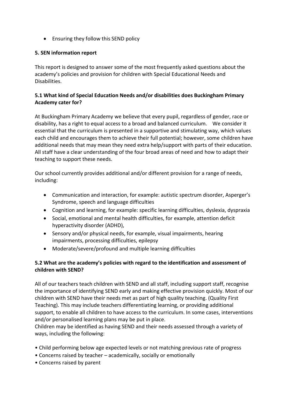Ensuring they follow this SEND policy

# **5. SEN information report**

This report is designed to answer some of the most frequently asked questions about the academy's policies and provision for children with Special Educational Needs and Disabilities.

# **5.1 What kind of Special Education Needs and/or disabilities does Buckingham Primary Academy cater for?**

At Buckingham Primary Academy we believe that every pupil, regardless of gender, race or disability, has a right to equal access to a broad and balanced curriculum. We consider it essential that the curriculum is presented in a supportive and stimulating way, which values each child and encourages them to achieve their full potential; however, some children have additional needs that may mean they need extra help/support with parts of their education. All staff have a clear understanding of the four broad areas of need and how to adapt their teaching to support these needs.

Our school currently provides additional and/or different provision for a range of needs, including:

- Communication and interaction, for example: autistic spectrum disorder, Asperger's Syndrome, speech and language difficulties
- Cognition and learning, for example: specific learning difficulties, dyslexia, dyspraxia
- Social, emotional and mental health difficulties, for example, attention deficit hyperactivity disorder (ADHD),
- Sensory and/or physical needs, for example, visual impairments, hearing impairments, processing difficulties, epilepsy
- Moderate/severe/profound and multiple learning difficulties

# **5.2 What are the academy's policies with regard to the identification and assessment of children with SEND?**

All of our teachers teach children with SEND and all staff, including support staff, recognise the importance of identifying SEND early and making effective provision quickly. Most of our children with SEND have their needs met as part of high quality teaching. (Quality First Teaching). This may include teachers differentiating learning, or providing additional support, to enable all children to have access to the curriculum. In some cases, interventions and/or personalised learning plans may be put in place.

Children may be identified as having SEND and their needs assessed through a variety of ways, including the following:

- Child performing below age expected levels or not matching previous rate of progress
- Concerns raised by teacher academically, socially or emotionally
- Concerns raised by parent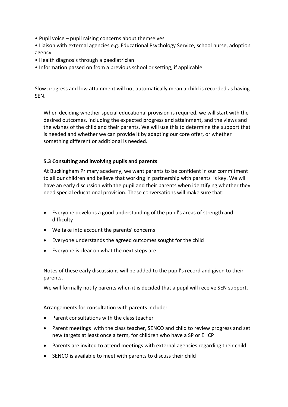• Pupil voice – pupil raising concerns about themselves

• Liaison with external agencies e.g. Educational Psychology Service, school nurse, adoption agency

- Health diagnosis through a paediatrician
- Information passed on from a previous school or setting, if applicable

Slow progress and low attainment will not automatically mean a child is recorded as having SEN.

When deciding whether special educational provision is required, we will start with the desired outcomes, including the expected progress and attainment, and the views and the wishes of the child and their parents. We will use this to determine the support that is needed and whether we can provide it by adapting our core offer, or whether something different or additional is needed.

#### **5.3 Consulting and involving pupils and parents**

At Buckingham Primary academy, we want parents to be confident in our commitment to all our children and believe that working in partnership with parents is key. We will have an early discussion with the pupil and their parents when identifying whether they need special educational provision. These conversations will make sure that:

- Everyone develops a good understanding of the pupil's areas of strength and difficulty
- We take into account the parents' concerns
- Everyone understands the agreed outcomes sought for the child
- Everyone is clear on what the next steps are

Notes of these early discussions will be added to the pupil's record and given to their parents.

We will formally notify parents when it is decided that a pupil will receive SEN support.

Arrangements for consultation with parents include:

- Parent consultations with the class teacher
- Parent meetings with the class teacher, SENCO and child to review progress and set new targets at least once a term, for children who have a SP or EHCP
- Parents are invited to attend meetings with external agencies regarding their child
- SENCO is available to meet with parents to discuss their child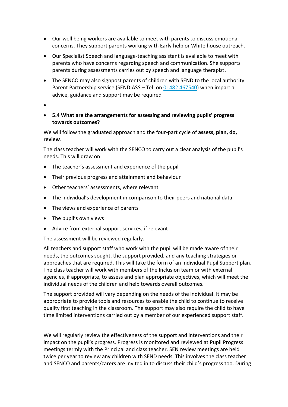- Our well being workers are available to meet with parents to discuss emotional concerns. They support parents working with Early help or White house outreach.
- Our Specialist Speech and language-teaching assistant is available to meet with parents who have concerns regarding speech and communication. She supports parents during assessments carries out by speech and language therapist.
- The SENCO may also signpost parents of children with SEND to the local authority Parent Partnership service (SENDIASS – Tel: o[n 01482 467540\)](tel:01482467540) when impartial advice, guidance and support may be required
- $\bullet$

# **5.4 What are the arrangements for assessing and reviewing pupils' progress towards outcomes?**

We will follow the graduated approach and the four-part cycle of **assess, plan, do, review**.

The class teacher will work with the SENCO to carry out a clear analysis of the pupil's needs. This will draw on:

- The teacher's assessment and experience of the pupil
- Their previous progress and attainment and behaviour
- Other teachers' assessments, where relevant
- The individual's development in comparison to their peers and national data
- The views and experience of parents
- The pupil's own views
- Advice from external support services, if relevant

The assessment will be reviewed regularly.

All teachers and support staff who work with the pupil will be made aware of their needs, the outcomes sought, the support provided, and any teaching strategies or approaches that are required. This will take the form of an individual Pupil Support plan. The class teacher will work with members of the Inclusion team or with external agencies, if appropriate, to assess and plan appropriate objectives, which will meet the individual needs of the children and help towards overall outcomes.

The support provided will vary depending on the needs of the individual. It may be appropriate to provide tools and resources to enable the child to continue to receive quality first teaching in the classroom. The support may also require the child to have time limited interventions carried out by a member of our experienced support staff.

We will regularly review the effectiveness of the support and interventions and their impact on the pupil's progress. Progress is monitored and reviewed at Pupil Progress meetings termly with the Principal and class teacher. SEN review meetings are held twice per year to review any children with SEND needs. This involves the class teacher and SENCO and parents/carers are invited in to discuss their child's progress too. During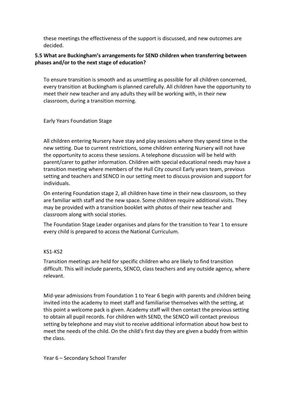these meetings the effectiveness of the support is discussed, and new outcomes are decided.

# **5.5 What are Buckingham's arrangements for SEND children when transferring between phases and/or to the next stage of education?**

To ensure transition is smooth and as unsettling as possible for all children concerned, every transition at Buckingham is planned carefully. All children have the opportunity to meet their new teacher and any adults they will be working with, in their new classroom, during a transition morning.

#### Early Years Foundation Stage

All children entering Nursery have stay and play sessions where they spend time in the new setting. Due to current restrictions, some children entering Nursery will not have the opportunity to access these sessions. A telephone discussion will be held with parent/carer to gather information. Children with special educational needs may have a transition meeting where members of the Hull City council Early years team, previous setting and teachers and SENCO in our setting meet to discuss provision and support for individuals.

On entering Foundation stage 2, all children have time in their new classroom, so they are familiar with staff and the new space. Some children require additional visits. They may be provided with a transition booklet with photos of their new teacher and classroom along with social stories.

The Foundation Stage Leader organises and plans for the transition to Year 1 to ensure every child is prepared to access the National Curriculum.

# KS1-KS2

Transition meetings are held for specific children who are likely to find transition difficult. This will include parents, SENCO, class teachers and any outside agency, where relevant.

Mid-year admissions from Foundation 1 to Year 6 begin with parents and children being invited into the academy to meet staff and familiarise themselves with the setting, at this point a welcome pack is given. Academy staff will then contact the previous setting to obtain all pupil records. For children with SEND, the SENCO will contact previous setting by telephone and may visit to receive additional information about how best to meet the needs of the child. On the child's first day they are given a buddy from within the class.

Year 6 – Secondary School Transfer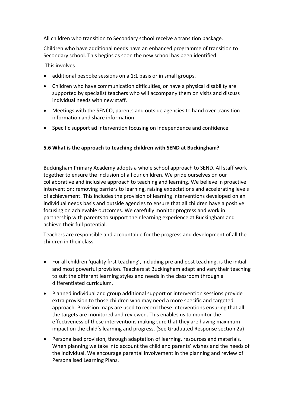All children who transition to Secondary school receive a transition package.

Children who have additional needs have an enhanced programme of transition to Secondary school. This begins as soon the new school has been identified.

This involves

- additional bespoke sessions on a 1:1 basis or in small groups.
- Children who have communication difficulties, or have a physical disability are supported by specialist teachers who will accompany them on visits and discuss individual needs with new staff.
- Meetings with the SENCO, parents and outside agencies to hand over transition information and share information
- Specific support ad intervention focusing on independence and confidence

# **5.6 What is the approach to teaching children with SEND at Buckingham?**

Buckingham Primary Academy adopts a whole school approach to SEND. All staff work together to ensure the inclusion of all our children. We pride ourselves on our collaborative and inclusive approach to teaching and learning. We believe in proactive intervention: removing barriers to learning, raising expectations and accelerating levels of achievement. This includes the provision of learning interventions developed on an individual needs basis and outside agencies to ensure that all children have a positive focusing on achievable outcomes. We carefully monitor progress and work in partnership with parents to support their learning experience at Buckingham and achieve their full potential.

Teachers are responsible and accountable for the progress and development of all the children in their class.

- For all children 'quality first teaching', including pre and post teaching, is the initial and most powerful provision. Teachers at Buckingham adapt and vary their teaching to suit the different learning styles and needs in the classroom through a differentiated curriculum.
- Planned individual and group additional support or intervention sessions provide extra provision to those children who may need a more specific and targeted approach. Provision maps are used to record these interventions ensuring that all the targets are monitored and reviewed. This enables us to monitor the effectiveness of these interventions making sure that they are having maximum impact on the child's learning and progress. (See Graduated Response section 2a)
- Personalised provision, through adaptation of learning, resources and materials. When planning we take into account the child and parents' wishes and the needs of the individual. We encourage parental involvement in the planning and review of Personalised Learning Plans.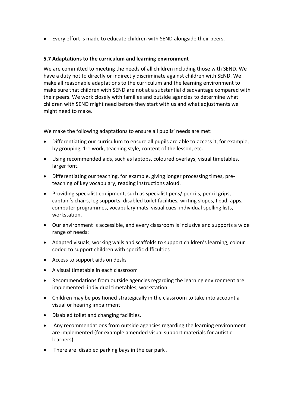Every effort is made to educate children with SEND alongside their peers.

#### **5.7 Adaptations to the curriculum and learning environment**

We are committed to meeting the needs of all children including those with SEND. We have a duty not to directly or indirectly discriminate against children with SEND. We make all reasonable adaptations to the curriculum and the learning environment to make sure that children with SEND are not at a substantial disadvantage compared with their peers. We work closely with families and outside agencies to determine what children with SEND might need before they start with us and what adjustments we might need to make.

We make the following adaptations to ensure all pupils' needs are met:

- Differentiating our curriculum to ensure all pupils are able to access it, for example, by grouping, 1:1 work, teaching style, content of the lesson, etc.
- Using recommended aids, such as laptops, coloured overlays, visual timetables, larger font.
- Differentiating our teaching, for example, giving longer processing times, preteaching of key vocabulary, reading instructions aloud.
- Providing specialist equipment, such as specialist pens/ pencils, pencil grips, captain's chairs, leg supports, disabled toilet facilities, writing slopes, I pad, apps, computer programmes, vocabulary mats, visual cues, individual spelling lists, workstation.
- Our environment is accessible, and every classroom is inclusive and supports a wide range of needs:
- Adapted visuals, working walls and scaffolds to support children's learning, colour coded to support children with specific difficulties
- Access to support aids on desks
- A visual timetable in each classroom
- Recommendations from outside agencies regarding the learning environment are implemented- individual timetables, workstation
- Children may be positioned strategically in the classroom to take into account a visual or hearing impairment
- Disabled toilet and changing facilities.
- Any recommendations from outside agencies regarding the learning environment are implemented (for example amended visual support materials for autistic learners)
- There are disabled parking bays in the car park.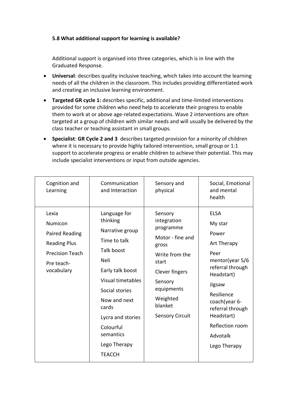# **5.8 What additional support for learning is available?**

Additional support is organised into three categories, which is in line with the Graduated Response.

- **Universal**: describes quality inclusive teaching, which takes into account the learning needs of all the children in the classroom. This includes providing differentiated work and creating an inclusive learning environment.
- **Targeted GR cycle 1:** describes specific, additional and time-limited interventions provided for some children who need help to accelerate their progress to enable them to work at or above age-related expectations. Wave 2 interventions are often targeted at a group of children with similar needs and will usually be delivered by the class teacher or teaching assistant in small groups.
- **Specialist**: **GR Cycle 2 and 3** describes targeted provision for a minority of children where it is necessary to provide highly tailored intervention, small group or 1:1 support to accelerate progress or enable children to achieve their potential. This may include specialist interventions or input from outside agencies.

| Cognition and<br>Learning                                                                                              | Communication<br>and Interaction                                                                                                                                                                                                                             | Sensory and<br>physical                                                                                                                                                                 | Social, Emotional<br>and mental<br>health                                                                                                                                                                                               |
|------------------------------------------------------------------------------------------------------------------------|--------------------------------------------------------------------------------------------------------------------------------------------------------------------------------------------------------------------------------------------------------------|-----------------------------------------------------------------------------------------------------------------------------------------------------------------------------------------|-----------------------------------------------------------------------------------------------------------------------------------------------------------------------------------------------------------------------------------------|
| Lexia<br>Numicon<br><b>Paired Reading</b><br><b>Reading Plus</b><br><b>Precision Teach</b><br>Pre teach-<br>vocabulary | Language for<br>thinking<br>Narrative group<br>Time to talk<br><b>Talk boost</b><br>Neli<br>Early talk boost<br>Visual timetables<br>Social stories<br>Now and next<br>cards<br>Lycra and stories<br>Colourful<br>semantics<br>Lego Therapy<br><b>TEACCH</b> | Sensory<br>integration<br>programme<br>Motor - fine and<br>gross<br>Write from the<br>start<br>Clever fingers<br>Sensory<br>equipments<br>Weighted<br>blanket<br><b>Sensory Circuit</b> | <b>ELSA</b><br>My star<br>Power<br>Art Therapy<br>Peer<br>mentor(year $5/6$<br>referral through<br>Headstart)<br>Jigsaw<br>Resilience<br>coach(year 6-<br>referral through<br>Headstart)<br>Reflection room<br>Advotalk<br>Lego Therapy |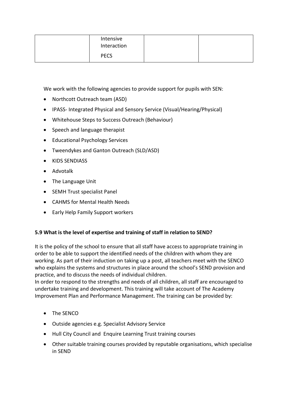| Intensive<br>Interaction |  |
|--------------------------|--|
| <b>PECS</b>              |  |

We work with the following agencies to provide support for pupils with SEN:

- Northcott Outreach team (ASD)
- IPASS- Integrated Physical and Sensory Service (Visual/Hearing/Physical)
- Whitehouse Steps to Success Outreach (Behaviour)
- Speech and language therapist
- Educational Psychology Services
- Tweendykes and Ganton Outreach (SLD/ASD)
- KIDS SENDIASS
- Advotalk
- The Language Unit
- SEMH Trust specialist Panel
- CAHMS for Mental Health Needs
- Early Help Family Support workers

# **5.9 What is the level of expertise and training of staff in relation to SEND?**

It is the policy of the school to ensure that all staff have access to appropriate training in order to be able to support the identified needs of the children with whom they are working. As part of their induction on taking up a post, all teachers meet with the SENCO who explains the systems and structures in place around the school's SEND provision and practice, and to discuss the needs of individual children.

In order to respond to the strengths and needs of all children, all staff are encouraged to undertake training and development. This training will take account of The Academy Improvement Plan and Performance Management. The training can be provided by:

- The SENCO
- Outside agencies e.g. Specialist Advisory Service
- Hull City Council and Enquire Learning Trust training courses
- Other suitable training courses provided by reputable organisations, which specialise in SEND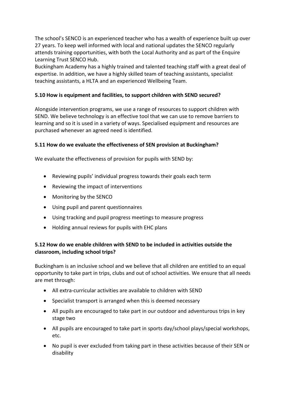The school's SENCO is an experienced teacher who has a wealth of experience built up over 27 years. To keep well informed with local and national updates the SENCO regularly attends training opportunities, with both the Local Authority and as part of the Enquire Learning Trust SENCO Hub.

Buckingham Academy has a highly trained and talented teaching staff with a great deal of expertise. In addition, we have a highly skilled team of teaching assistants, specialist teaching assistants, a HLTA and an experienced Wellbeing Team.

# **5.10 How is equipment and facilities, to support children with SEND secured?**

Alongside intervention programs, we use a range of resources to support children with SEND. We believe technology is an effective tool that we can use to remove barriers to learning and so it is used in a variety of ways. Specialised equipment and resources are purchased whenever an agreed need is identified.

# **5.11 How do we evaluate the effectiveness of SEN provision at Buckingham?**

We evaluate the effectiveness of provision for pupils with SEND by:

- Reviewing pupils' individual progress towards their goals each term
- Reviewing the impact of interventions
- Monitoring by the SENCO
- Using pupil and parent questionnaires
- Using tracking and pupil progress meetings to measure progress
- Holding annual reviews for pupils with EHC plans

# **5.12 How do we enable children with SEND to be included in activities outside the classroom, including school trips?**

Buckingham is an inclusive school and we believe that all children are entitled to an equal opportunity to take part in trips, clubs and out of school activities. We ensure that all needs are met through:

- All extra-curricular activities are available to children with SEND
- Specialist transport is arranged when this is deemed necessary
- All pupils are encouraged to take part in our outdoor and adventurous trips in key stage two
- All pupils are encouraged to take part in sports day/school plays/special workshops, etc.
- No pupil is ever excluded from taking part in these activities because of their SEN or disability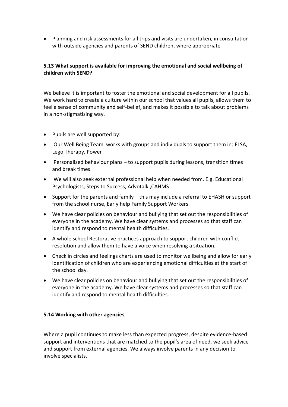Planning and risk assessments for all trips and visits are undertaken, in consultation with outside agencies and parents of SEND children, where appropriate

# **5.13 What support is available for improving the emotional and social wellbeing of children with SEND?**

We believe it is important to foster the emotional and social development for all pupils. We work hard to create a culture within our school that values all pupils, allows them to feel a sense of community and self-belief, and makes it possible to talk about problems in a non-stigmatising way.

- Pupils are well supported by:
- Our Well Being Team works with groups and individuals to support them in: ELSA, Lego Therapy, Power
- Personalised behaviour plans to support pupils during lessons, transition times and break times.
- We will also seek external professional help when needed from. E.g. Educational Psychologists, Steps to Success, Advotalk ,CAHMS
- Support for the parents and family this may include a referral to EHASH or support from the school nurse, Early help Family Support Workers.
- We have clear policies on behaviour and bullying that set out the responsibilities of everyone in the academy. We have clear systems and processes so that staff can identify and respond to mental health difficulties.
- A whole school Restorative practices approach to support children with conflict resolution and allow them to have a voice when resolving a situation.
- Check in circles and feelings charts are used to monitor wellbeing and allow for early identification of children who are experiencing emotional difficulties at the start of the school day.
- We have clear policies on behaviour and bullying that set out the responsibilities of everyone in the academy. We have clear systems and processes so that staff can identify and respond to mental health difficulties.

#### **5.14 Working with other agencies**

Where a pupil continues to make less than expected progress, despite evidence-based support and interventions that are matched to the pupil's area of need, we seek advice and support from external agencies. We always involve parents in any decision to involve specialists.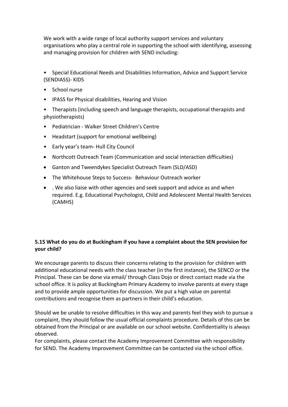We work with a wide range of local authority support services and voluntary organisations who play a central role in supporting the school with identifying, assessing and managing provision for children with SEND including:

• Special Educational Needs and Disabilities Information, Advice and Support Service (SENDIASS)- KIDS

- School nurse
- IPASS for Physical disabilities, Hearing and Vision
- Therapists (including speech and language therapists, occupational therapists and physiotherapists)
- Pediatrician Walker Street Children's Centre
- Headstart (support for emotional wellbeing)
- Early year's team- Hull City Council
- Northcott Outreach Team (Communication and social interaction difficulties)
- Ganton and Tweendykes Specialist Outreach Team (SLD/ASD)
- The Whitehouse Steps to Success- Behaviour Outreach worker
- . We also liaise with other agencies and seek support and advice as and when required. E.g. Educational Psychologist, Child and Adolescent Mental Health Services (CAMHS)

# **5.15 What do you do at Buckingham if you have a complaint about the SEN provision for your child?**

We encourage parents to discuss their concerns relating to the provision for children with additional educational needs with the class teacher (in the first instance), the SENCO or the Principal. These can be done via email/ through Class Dojo or direct contact made via the school office. It is policy at Buckingham Primary Academy to involve parents at every stage and to provide ample opportunities for discussion. We put a high value on parental contributions and recognise them as partners in their child's education.

Should we be unable to resolve difficulties in this way and parents feel they wish to pursue a complaint, they should follow the usual official complaints procedure. Details of this can be obtained from the Principal or are available on our school website. Confidentiality is always observed.

For complaints, please contact the Academy Improvement Committee with responsibility for SEND. The Academy Improvement Committee can be contacted via the school office.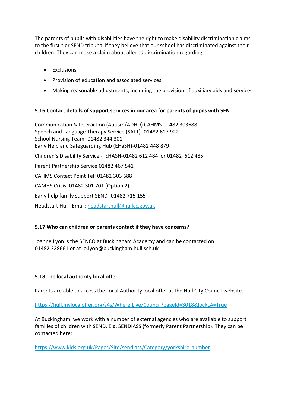The parents of pupils with disabilities have the right to make disability discrimination claims to the first-tier SEND tribunal if they believe that our school has discriminated against their children. They can make a claim about alleged discrimination regarding:

- Exclusions
- Provision of education and associated services
- Making reasonable adjustments, including the provision of auxiliary aids and services

# **5.16 Contact details of support services in our area for parents of pupils with SEN**

Communication & Interaction (Autism/ADHD) CAHMS-01482 303688 Speech and Language Therapy Service (SALT) -01482 617 922 School Nursing Team -01482 344 301 Early Help and Safeguarding Hub (EHaSH)-01482 448 879 Children's Disability Service - EHASH-01482 612 484 or 01482 612 485 Parent Partnership Service 01482 467 541 CAHMS Contact Point Tel: 01482 303 688 CAMHS Crisis: 01482 301 701 (Option 2) Early help family support SEND- 01482 715 155 Headstart Hull- Email: [headstarthull@hullcc.gov.uk](mailto:headstarthull@hullcc.gov.uk)

# **5.17 Who can children or parents contact if they have concerns?**

Joanne Lyon is the SENCO at Buckingham Academy and can be contacted on 01482 328661 or at jo.lyon@buckingham.hull.sch.uk

# **5.18 The local authority local offer**

Parents are able to access the Local Authority local offer at the Hull City Council website.

<https://hull.mylocaloffer.org/s4s/WhereILive/Council?pageId=3018&lockLA=True>

At Buckingham, we work with a number of external agencies who are available to support families of children with SEND. E.g. SENDIASS (formerly Parent Partnership). They can be contacted here:

<https://www.kids.org.uk/Pages/Site/sendiass/Category/yorkshire-humber>